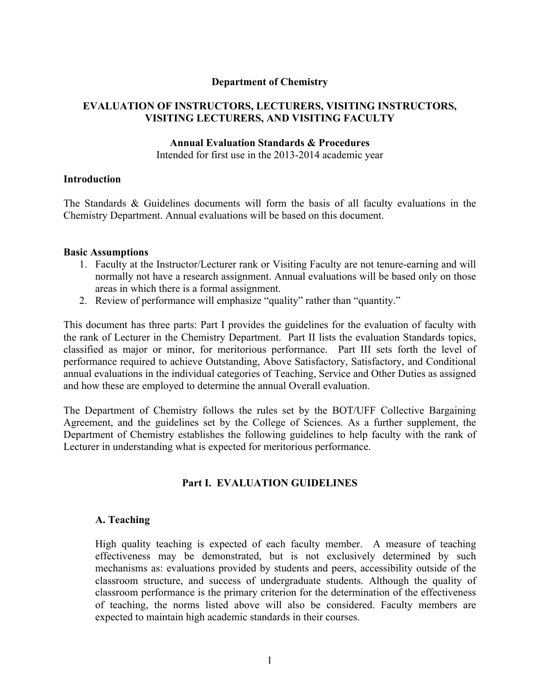#### **Department of Chemistry**

### **EVALUATION OF INSTRUCTORS, LECTURERS, VISITING INSTRUCTORS, VISITING LECTURERS, AND VISITING FACULTY**

#### **Annual Evaluation Standards & Procedures**

Intended for first use in the 2013-2014 academic year

#### **Introduction**

The Standards & Guidelines documents will form the basis of all faculty evaluations in the Chemistry Department. Annual evaluations will be based on this document.

#### **Basic Assumptions**

- 1. Faculty at the Instructor/Lecturer rank or Visiting Faculty are not tenure-earning and will normally not have a research assignment. Annual evaluations will be based only on those areas in which there is a formal assignment.
- 2. Review of performance will emphasize "quality" rather than "quantity."

This document has three parts: Part I provides the guidelines for the evaluation of faculty with the rank of Lecturer in the Chemistry Department. Part II lists the evaluation Standards topics, classified as major or minor, for meritorious performance. Part III sets forth the level of performance required to achieve Outstanding, Above Satisfactory, Satisfactory, and Conditional annual evaluations in the individual categories of Teaching, Service and Other Duties as assigned and how these are employed to determine the annual Overall evaluation.

The Department of Chemistry follows the rules set by the BOT/UFF Collective Bargaining Agreement, and the guidelines set by the College of Sciences. As a further supplement, the Department of Chemistry establishes the following guidelines to help faculty with the rank of Lecturer in understanding what is expected for meritorious performance.

### **Part I. EVALUATION GUIDELINES**

### **A. Teaching**

High quality teaching is expected of each faculty member. A measure of teaching effectiveness may be demonstrated, but is not exclusively determined by such mechanisms as: evaluations provided by students and peers, accessibility outside of the classroom structure, and success of undergraduate students. Although the quality of classroom performance is the primary criterion for the determination of the effectiveness of teaching, the norms listed above will also be considered. Faculty members are expected to maintain high academic standards in their courses.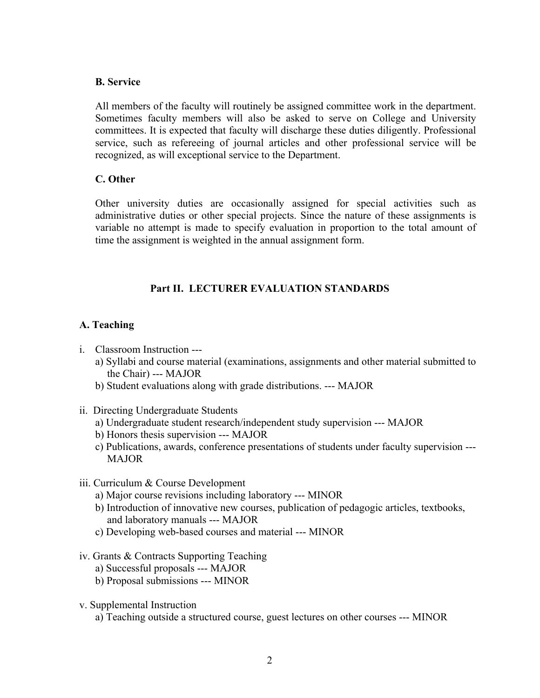### **B. Service**

All members of the faculty will routinely be assigned committee work in the department. Sometimes faculty members will also be asked to serve on College and University committees. It is expected that faculty will discharge these duties diligently. Professional service, such as refereeing of journal articles and other professional service will be recognized, as will exceptional service to the Department.

### **C. Other**

Other university duties are occasionally assigned for special activities such as administrative duties or other special projects. Since the nature of these assignments is variable no attempt is made to specify evaluation in proportion to the total amount of time the assignment is weighted in the annual assignment form.

# **Part II. LECTURER EVALUATION STANDARDS**

- i. Classroom Instruction --
	- a) Syllabi and course material (examinations, assignments and other material submitted to the Chair) --- MAJOR
	- b) Student evaluations along with grade distributions. --- MAJOR
- ii. Directing Undergraduate Students
	- a) Undergraduate student research/independent study supervision --- MAJOR
	- b) Honors thesis supervision --- MAJOR
	- c) Publications, awards, conference presentations of students under faculty supervision --- MAJOR
- iii. Curriculum & Course Development
	- a) Major course revisions including laboratory --- MINOR
	- b) Introduction of innovative new courses, publication of pedagogic articles, textbooks, and laboratory manuals --- MAJOR
	- c) Developing web-based courses and material --- MINOR
- iv. Grants & Contracts Supporting Teaching
	- a) Successful proposals --- MAJOR
	- b) Proposal submissions --- MINOR
- v. Supplemental Instruction
	- a) Teaching outside a structured course, guest lectures on other courses --- MINOR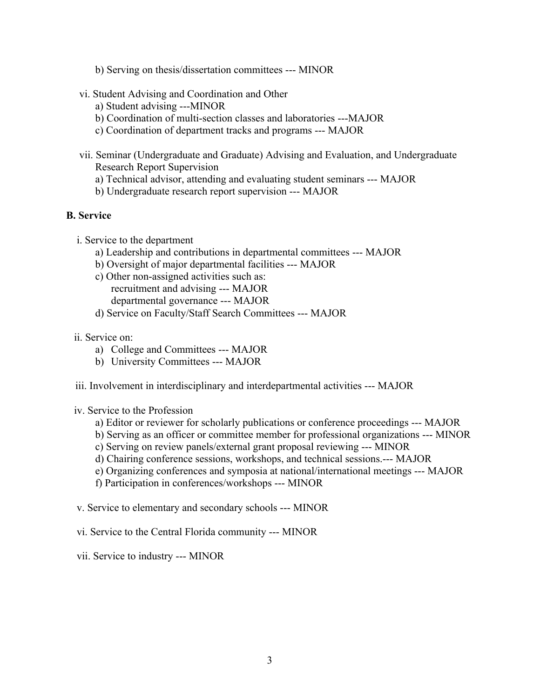- b) Serving on thesis/dissertation committees --- MINOR
- vi. Student Advising and Coordination and Other
	- a) Student advising ---MINOR
	- b) Coordination of multi-section classes and laboratories ---MAJOR
	- c) Coordination of department tracks and programs --- MAJOR
- vii. Seminar (Undergraduate and Graduate) Advising and Evaluation, and Undergraduate Research Report Supervision
	- a) Technical advisor, attending and evaluating student seminars --- MAJOR
	- b) Undergraduate research report supervision --- MAJOR

# **B. Service**

- i. Service to the department
	- a) Leadership and contributions in departmental committees --- MAJOR
	- b) Oversight of major departmental facilities --- MAJOR
	- c) Other non-assigned activities such as: recruitment and advising --- MAJOR departmental governance --- MAJOR
	- d) Service on Faculty/Staff Search Committees --- MAJOR
- ii. Service on:
	- a) College and Committees --- MAJOR
	- b) University Committees --- MAJOR
- iii. Involvement in interdisciplinary and interdepartmental activities --- MAJOR

iv. Service to the Profession

- a) Editor or reviewer for scholarly publications or conference proceedings --- MAJOR
- b) Serving as an officer or committee member for professional organizations --- MINOR
- c) Serving on review panels/external grant proposal reviewing --- MINOR
- d) Chairing conference sessions, workshops, and technical sessions.--- MAJOR
- e) Organizing conferences and symposia at national/international meetings --- MAJOR
- f) Participation in conferences/workshops --- MINOR
- v. Service to elementary and secondary schools --- MINOR
- vi. Service to the Central Florida community --- MINOR
- vii. Service to industry --- MINOR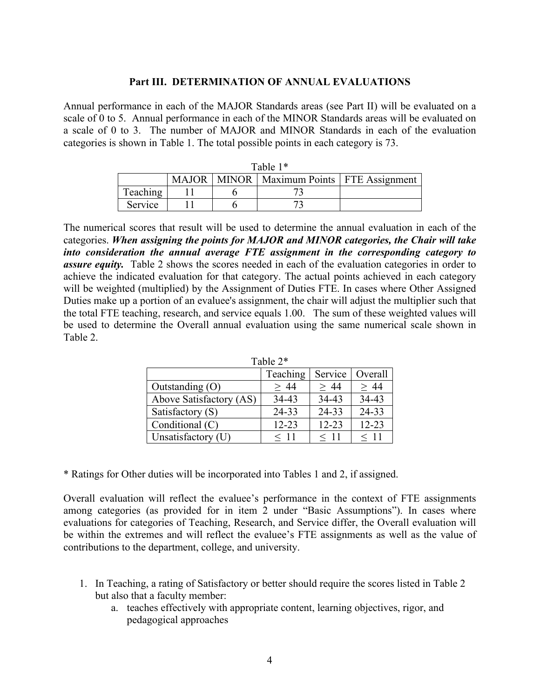#### **Part III. DETERMINATION OF ANNUAL EVALUATIONS**

Annual performance in each of the MAJOR Standards areas (see Part II) will be evaluated on a scale of 0 to 5. Annual performance in each of the MINOR Standards areas will be evaluated on a scale of 0 to 3. The number of MAJOR and MINOR Standards in each of the evaluation categories is shown in Table 1. The total possible points in each category is 73.

| Table $1*$ |              |  |                                         |  |  |  |
|------------|--------------|--|-----------------------------------------|--|--|--|
|            | <b>MAJOR</b> |  | MINOR   Maximum Points   FTE Assignment |  |  |  |
| Teaching   |              |  |                                         |  |  |  |
| Service    |              |  |                                         |  |  |  |

The numerical scores that result will be used to determine the annual evaluation in each of the categories. *When assigning the points for MAJOR and MINOR categories, the Chair will take into consideration the annual average FTE assignment in the corresponding category to assure equity.* Table 2 shows the scores needed in each of the evaluation categories in order to achieve the indicated evaluation for that category. The actual points achieved in each category will be weighted (multiplied) by the Assignment of Duties FTE. In cases where Other Assigned Duties make up a portion of an evaluee's assignment, the chair will adjust the multiplier such that the total FTE teaching, research, and service equals 1.00. The sum of these weighted values will be used to determine the Overall annual evaluation using the same numerical scale shown in Table 2.

Table 2\*

|                         | Teaching  | Service   | Overall   |  |  |
|-------------------------|-----------|-----------|-----------|--|--|
| Outstanding $(O)$       | > 44      | > 44      | > 44      |  |  |
| Above Satisfactory (AS) | 34-43     | 34-43     | 34-43     |  |  |
| Satisfactory (S)        | 24-33     | 24-33     | 24-33     |  |  |
| Conditional (C)         | $12 - 23$ | $12 - 23$ | $12 - 23$ |  |  |
| Unsatisfactory (U)      | $<$ 11    | $<$ 11    | $<$ 11    |  |  |

\* Ratings for Other duties will be incorporated into Tables 1 and 2, if assigned.

Overall evaluation will reflect the evaluee's performance in the context of FTE assignments among categories (as provided for in item 2 under "Basic Assumptions"). In cases where evaluations for categories of Teaching, Research, and Service differ, the Overall evaluation will be within the extremes and will reflect the evaluee's FTE assignments as well as the value of contributions to the department, college, and university.

- 1. In Teaching, a rating of Satisfactory or better should require the scores listed in Table 2 but also that a faculty member:
	- a. teaches effectively with appropriate content, learning objectives, rigor, and pedagogical approaches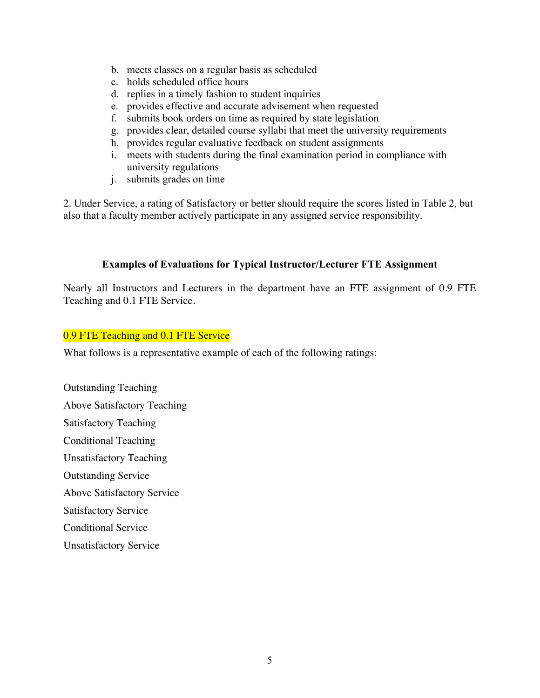- b. meets classes on a regular basis as scheduled
- c. holds scheduled office hours
- d. replies in a timely fashion to student inquiries
- e. provides effective and accurate advisement when requested
- f. submits book orders on time as required by state legislation
- g. provides clear, detailed course syllabi that meet the university requirements
- h. provides regular evaluative feedback on student assignments
- i. meets with students during the final examination period in compliance with university regulations
- j. submits grades on time

2. Under Service, a rating of Satisfactory or better should require the scores listed in Table 2, but also that a faculty member actively participate in any assigned service responsibility.

# **Examples of Evaluations for Typical Instructor/Lecturer FTE Assignment**

Nearly all Instructors and Lecturers in the department have an FTE assignment of 0.9 FTE Teaching and 0.1 FTE Service.

## 0.9 FTE Teaching and 0.1 FTE Service

What follows is a representative example of each of the following ratings:

Outstanding Teaching Above Satisfactory Teaching Satisfactory Teaching Conditional Teaching Unsatisfactory Teaching Outstanding Service Above Satisfactory Service Satisfactory Service Conditional Service Unsatisfactory Service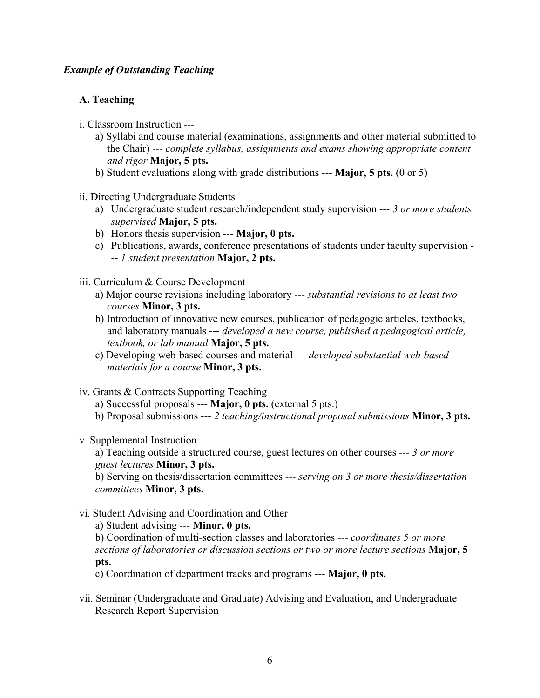# *Example of Outstanding Teaching*

# **A. Teaching**

- i. Classroom Instruction --
	- a) Syllabi and course material (examinations, assignments and other material submitted to the Chair) --- *complete syllabus, assignments and exams showing appropriate content and rigor* **Major, 5 pts.**
	- b) Student evaluations along with grade distributions --- **Major, 5 pts.** (0 or 5)
- ii. Directing Undergraduate Students
	- a) Undergraduate student research/independent study supervision --- *3 or more students supervised* **Major, 5 pts.**
	- b) Honors thesis supervision --- **Major, 0 pts.**
	- c) Publications, awards, conference presentations of students under faculty supervision -- *1 student presentation* **Major, 2 pts.**
- iii. Curriculum & Course Development
	- a) Major course revisions including laboratory --- *substantial revisions to at least two courses* **Minor, 3 pts.**
	- b) Introduction of innovative new courses, publication of pedagogic articles, textbooks, and laboratory manuals --- *developed a new course, published a pedagogical article, textbook, or lab manual* **Major, 5 pts.**
	- c) Developing web-based courses and material --- *developed substantial web-based materials for a course* **Minor, 3 pts.**
- iv. Grants & Contracts Supporting Teaching
	- a) Successful proposals --- **Major, 0 pts.** (external 5 pts.)
	- b) Proposal submissions --- *2 teaching/instructional proposal submissions* **Minor, 3 pts.**
- v. Supplemental Instruction

a) Teaching outside a structured course, guest lectures on other courses --- *3 or more guest lectures* **Minor, 3 pts.**

b) Serving on thesis/dissertation committees --- *serving on 3 or more thesis/dissertation committees* **Minor, 3 pts.**

vi. Student Advising and Coordination and Other

a) Student advising --- **Minor, 0 pts.**

b) Coordination of multi-section classes and laboratories --- *coordinates 5 or more sections of laboratories or discussion sections or two or more lecture sections* **Major, 5 pts.**

c) Coordination of department tracks and programs --- **Major, 0 pts.**

vii. Seminar (Undergraduate and Graduate) Advising and Evaluation, and Undergraduate Research Report Supervision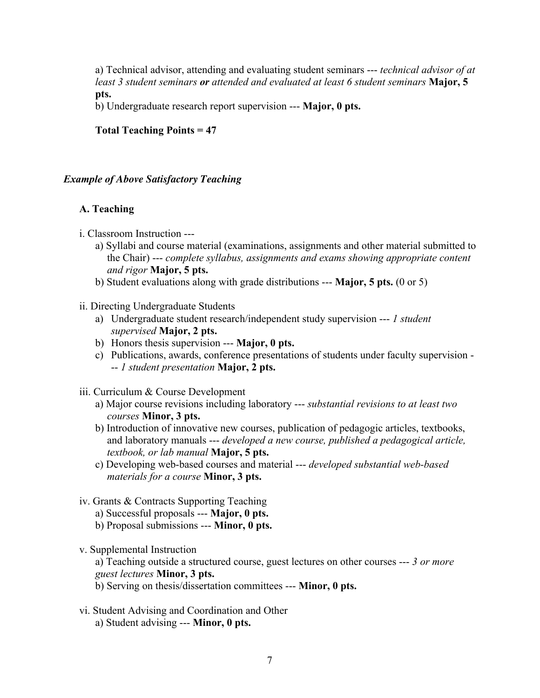a) Technical advisor, attending and evaluating student seminars --- *technical advisor of at least 3 student seminars or attended and evaluated at least 6 student seminars* **Major, 5 pts.**

b) Undergraduate research report supervision --- **Major, 0 pts.**

# **Total Teaching Points = 47**

### *Example of Above Satisfactory Teaching*

## **A. Teaching**

- i. Classroom Instruction --
	- a) Syllabi and course material (examinations, assignments and other material submitted to the Chair) --- *complete syllabus, assignments and exams showing appropriate content and rigor* **Major, 5 pts.**
	- b) Student evaluations along with grade distributions --- **Major, 5 pts.** (0 or 5)
- ii. Directing Undergraduate Students
	- a) Undergraduate student research/independent study supervision --- *1 student supervised* **Major, 2 pts.**
	- b) Honors thesis supervision --- **Major, 0 pts.**
	- c) Publications, awards, conference presentations of students under faculty supervision -- *1 student presentation* **Major, 2 pts.**
- iii. Curriculum & Course Development
	- a) Major course revisions including laboratory --- *substantial revisions to at least two courses* **Minor, 3 pts.**
	- b) Introduction of innovative new courses, publication of pedagogic articles, textbooks, and laboratory manuals --- *developed a new course, published a pedagogical article, textbook, or lab manual* **Major, 5 pts.**
	- c) Developing web-based courses and material --- *developed substantial web-based materials for a course* **Minor, 3 pts.**
- iv. Grants & Contracts Supporting Teaching
	- a) Successful proposals --- **Major, 0 pts.**
	- b) Proposal submissions --- **Minor, 0 pts.**
- v. Supplemental Instruction

a) Teaching outside a structured course, guest lectures on other courses --- *3 or more guest lectures* **Minor, 3 pts.**

b) Serving on thesis/dissertation committees --- **Minor, 0 pts.**

vi. Student Advising and Coordination and Other a) Student advising --- **Minor, 0 pts.**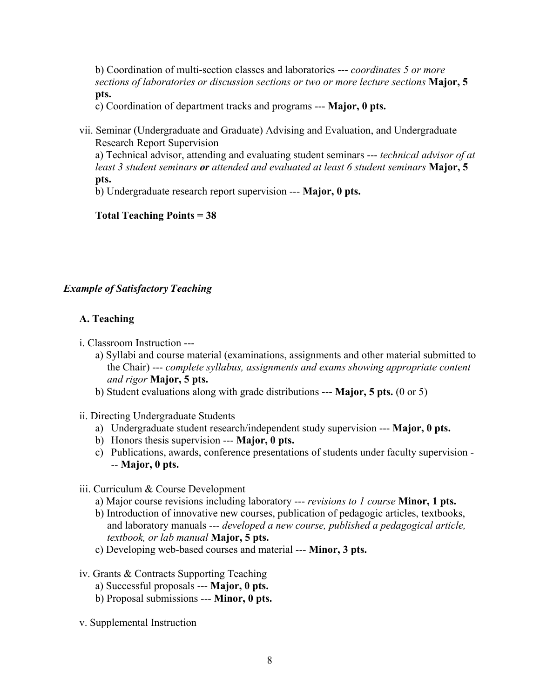b) Coordination of multi-section classes and laboratories --- *coordinates 5 or more sections of laboratories or discussion sections or two or more lecture sections* **Major, 5 pts.**

c) Coordination of department tracks and programs --- **Major, 0 pts.**

vii. Seminar (Undergraduate and Graduate) Advising and Evaluation, and Undergraduate Research Report Supervision

a) Technical advisor, attending and evaluating student seminars --- *technical advisor of at least 3 student seminars or attended and evaluated at least 6 student seminars* **Major, 5 pts.**

b) Undergraduate research report supervision --- **Major, 0 pts.**

## **Total Teaching Points = 38**

# *Example of Satisfactory Teaching*

- i. Classroom Instruction --
	- a) Syllabi and course material (examinations, assignments and other material submitted to the Chair) --- *complete syllabus, assignments and exams showing appropriate content and rigor* **Major, 5 pts.**
	- b) Student evaluations along with grade distributions --- **Major, 5 pts.** (0 or 5)
- ii. Directing Undergraduate Students
	- a) Undergraduate student research/independent study supervision --- **Major, 0 pts.**
	- b) Honors thesis supervision --- **Major, 0 pts.**
	- c) Publications, awards, conference presentations of students under faculty supervision -- **Major, 0 pts.**
- iii. Curriculum & Course Development
	- a) Major course revisions including laboratory --- *revisions to 1 course* **Minor, 1 pts.**
	- b) Introduction of innovative new courses, publication of pedagogic articles, textbooks, and laboratory manuals --- *developed a new course, published a pedagogical article, textbook, or lab manual* **Major, 5 pts.**
	- c) Developing web-based courses and material --- **Minor, 3 pts.**
- iv. Grants & Contracts Supporting Teaching
	- a) Successful proposals --- **Major, 0 pts.**
	- b) Proposal submissions --- **Minor, 0 pts.**
- v. Supplemental Instruction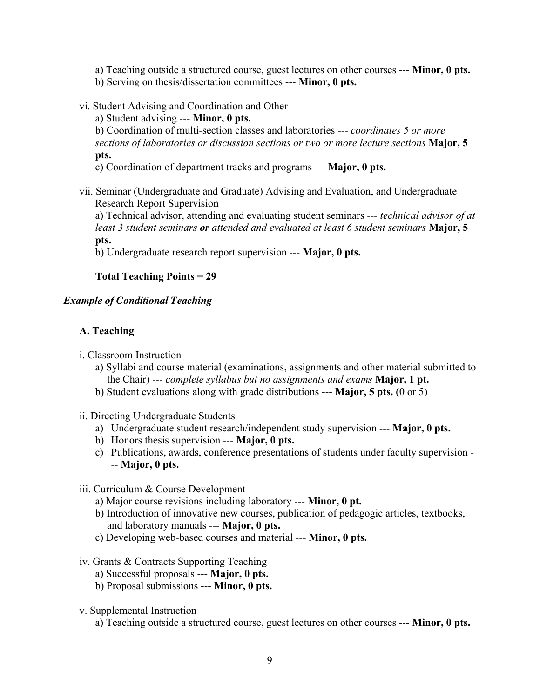a) Teaching outside a structured course, guest lectures on other courses --- **Minor, 0 pts.** b) Serving on thesis/dissertation committees --- **Minor, 0 pts.**

vi. Student Advising and Coordination and Other

a) Student advising --- **Minor, 0 pts.**

b) Coordination of multi-section classes and laboratories --- *coordinates 5 or more sections of laboratories or discussion sections or two or more lecture sections* **Major, 5 pts.**

c) Coordination of department tracks and programs --- **Major, 0 pts.**

vii. Seminar (Undergraduate and Graduate) Advising and Evaluation, and Undergraduate Research Report Supervision

a) Technical advisor, attending and evaluating student seminars --- *technical advisor of at least 3 student seminars or attended and evaluated at least 6 student seminars* **Major, 5 pts.**

b) Undergraduate research report supervision --- **Major, 0 pts.**

## **Total Teaching Points = 29**

### *Example of Conditional Teaching*

- i. Classroom Instruction --
	- a) Syllabi and course material (examinations, assignments and other material submitted to the Chair) --- *complete syllabus but no assignments and exams* **Major, 1 pt.**
	- b) Student evaluations along with grade distributions --- **Major, 5 pts.** (0 or 5)
- ii. Directing Undergraduate Students
	- a) Undergraduate student research/independent study supervision --- **Major, 0 pts.**
	- b) Honors thesis supervision --- **Major, 0 pts.**
	- c) Publications, awards, conference presentations of students under faculty supervision -- **Major, 0 pts.**
- iii. Curriculum & Course Development
	- a) Major course revisions including laboratory --- **Minor, 0 pt.**
	- b) Introduction of innovative new courses, publication of pedagogic articles, textbooks, and laboratory manuals --- **Major, 0 pts.**
	- c) Developing web-based courses and material --- **Minor, 0 pts.**
- iv. Grants & Contracts Supporting Teaching
	- a) Successful proposals --- **Major, 0 pts.**
	- b) Proposal submissions --- **Minor, 0 pts.**
- v. Supplemental Instruction
	- a) Teaching outside a structured course, guest lectures on other courses --- **Minor, 0 pts.**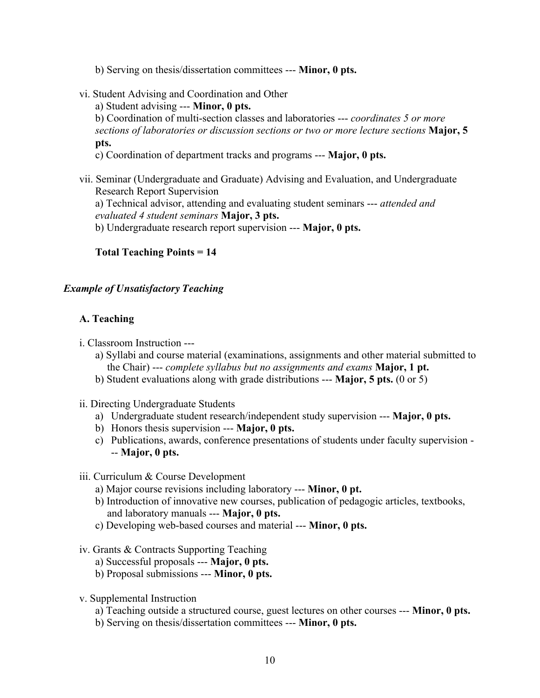- b) Serving on thesis/dissertation committees --- **Minor, 0 pts.**
- vi. Student Advising and Coordination and Other

a) Student advising --- **Minor, 0 pts.**

b) Coordination of multi-section classes and laboratories --- *coordinates 5 or more sections of laboratories or discussion sections or two or more lecture sections* **Major, 5 pts.**

c) Coordination of department tracks and programs --- **Major, 0 pts.**

vii. Seminar (Undergraduate and Graduate) Advising and Evaluation, and Undergraduate Research Report Supervision a) Technical advisor, attending and evaluating student seminars --- *attended and evaluated 4 student seminars* **Major, 3 pts.** b) Undergraduate research report supervision --- **Major, 0 pts.**

## **Total Teaching Points = 14**

#### *Example of Unsatisfactory Teaching*

- i. Classroom Instruction --
	- a) Syllabi and course material (examinations, assignments and other material submitted to the Chair) --- *complete syllabus but no assignments and exams* **Major, 1 pt.**
	- b) Student evaluations along with grade distributions --- **Major, 5 pts.** (0 or 5)
- ii. Directing Undergraduate Students
	- a) Undergraduate student research/independent study supervision --- **Major, 0 pts.**
	- b) Honors thesis supervision --- **Major, 0 pts.**
	- c) Publications, awards, conference presentations of students under faculty supervision -- **Major, 0 pts.**
- iii. Curriculum & Course Development
	- a) Major course revisions including laboratory --- **Minor, 0 pt.**
	- b) Introduction of innovative new courses, publication of pedagogic articles, textbooks, and laboratory manuals --- **Major, 0 pts.**
	- c) Developing web-based courses and material --- **Minor, 0 pts.**
- iv. Grants & Contracts Supporting Teaching
	- a) Successful proposals --- **Major, 0 pts.**
	- b) Proposal submissions --- **Minor, 0 pts.**
- v. Supplemental Instruction
	- a) Teaching outside a structured course, guest lectures on other courses --- **Minor, 0 pts.**
	- b) Serving on thesis/dissertation committees --- **Minor, 0 pts.**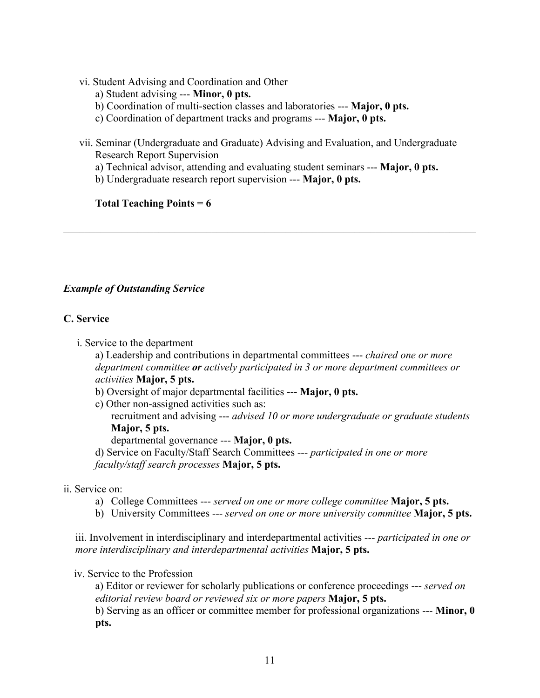- vi. Student Advising and Coordination and Other
	- a) Student advising --- **Minor, 0 pts.**
	- b) Coordination of multi-section classes and laboratories --- **Major, 0 pts.**
	- c) Coordination of department tracks and programs --- **Major, 0 pts.**
- vii. Seminar (Undergraduate and Graduate) Advising and Evaluation, and Undergraduate Research Report Supervision
	- a) Technical advisor, attending and evaluating student seminars --- **Major, 0 pts.**

 $\mathcal{L}_\mathcal{L} = \{ \mathcal{L}_\mathcal{L} = \{ \mathcal{L}_\mathcal{L} = \{ \mathcal{L}_\mathcal{L} = \{ \mathcal{L}_\mathcal{L} = \{ \mathcal{L}_\mathcal{L} = \{ \mathcal{L}_\mathcal{L} = \{ \mathcal{L}_\mathcal{L} = \{ \mathcal{L}_\mathcal{L} = \{ \mathcal{L}_\mathcal{L} = \{ \mathcal{L}_\mathcal{L} = \{ \mathcal{L}_\mathcal{L} = \{ \mathcal{L}_\mathcal{L} = \{ \mathcal{L}_\mathcal{L} = \{ \mathcal{L}_\mathcal{$ 

b) Undergraduate research report supervision --- **Major, 0 pts.**

## **Total Teaching Points = 6**

# *Example of Outstanding Service*

## **C. Service**

i. Service to the department

a) Leadership and contributions in departmental committees --- *chaired one or more department committee or actively participated in 3 or more department committees or activities* **Major, 5 pts.**

- b) Oversight of major departmental facilities --- **Major, 0 pts.**
- c) Other non-assigned activities such as: recruitment and advising --- *advised 10 or more undergraduate or graduate students* **Major, 5 pts.**

departmental governance --- **Major, 0 pts.**

d) Service on Faculty/Staff Search Committees --- *participated in one or more faculty/staff search processes* **Major, 5 pts.**

- ii. Service on:
	- a) College Committees --- *served on one or more college committee* **Major, 5 pts.**
	- b) University Committees --- *served on one or more university committee* **Major, 5 pts.**

iii. Involvement in interdisciplinary and interdepartmental activities --- *participated in one or more interdisciplinary and interdepartmental activities* **Major, 5 pts.**

### iv. Service to the Profession

a) Editor or reviewer for scholarly publications or conference proceedings --- *served on editorial review board or reviewed six or more papers* **Major, 5 pts.** b) Serving as an officer or committee member for professional organizations --- **Minor, 0 pts.**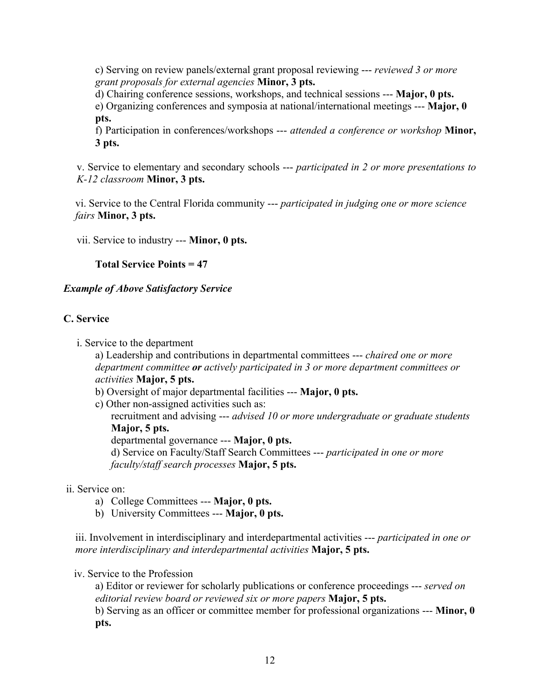c) Serving on review panels/external grant proposal reviewing --- *reviewed 3 or more grant proposals for external agencies* **Minor, 3 pts.**

d) Chairing conference sessions, workshops, and technical sessions --- **Major, 0 pts.** e) Organizing conferences and symposia at national/international meetings --- **Major, 0 pts.**

f) Participation in conferences/workshops --- *attended a conference or workshop* **Minor, 3 pts.**

v. Service to elementary and secondary schools --- *participated in 2 or more presentations to K-12 classroom* **Minor, 3 pts.**

vi. Service to the Central Florida community --- *participated in judging one or more science fairs* **Minor, 3 pts.**

vii. Service to industry --- **Minor, 0 pts.**

**Total Service Points = 47**

*Example of Above Satisfactory Service*

## **C. Service**

i. Service to the department

a) Leadership and contributions in departmental committees --- *chaired one or more department committee or actively participated in 3 or more department committees or activities* **Major, 5 pts.**

b) Oversight of major departmental facilities --- **Major, 0 pts.**

c) Other non-assigned activities such as: recruitment and advising --- *advised 10 or more undergraduate or graduate students* **Major, 5 pts.** departmental governance --- **Major, 0 pts.** d) Service on Faculty/Staff Search Committees --- *participated in one or more faculty/staff search processes* **Major, 5 pts.**

- ii. Service on:
	- a) College Committees --- **Major, 0 pts.**
	- b) University Committees --- **Major, 0 pts.**

iii. Involvement in interdisciplinary and interdepartmental activities --- *participated in one or more interdisciplinary and interdepartmental activities* **Major, 5 pts.**

### iv. Service to the Profession

a) Editor or reviewer for scholarly publications or conference proceedings --- *served on editorial review board or reviewed six or more papers* **Major, 5 pts.** b) Serving as an officer or committee member for professional organizations --- **Minor, 0 pts.**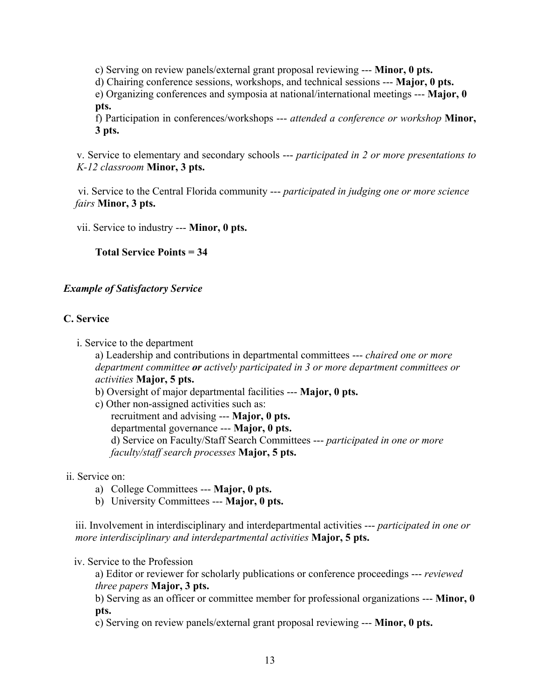c) Serving on review panels/external grant proposal reviewing --- **Minor, 0 pts.**

d) Chairing conference sessions, workshops, and technical sessions --- **Major, 0 pts.**

e) Organizing conferences and symposia at national/international meetings --- **Major, 0 pts.**

f) Participation in conferences/workshops --- *attended a conference or workshop* **Minor, 3 pts.**

v. Service to elementary and secondary schools --- *participated in 2 or more presentations to K-12 classroom* **Minor, 3 pts.**

vi. Service to the Central Florida community --- *participated in judging one or more science fairs* **Minor, 3 pts.**

vii. Service to industry --- **Minor, 0 pts.**

**Total Service Points = 34**

## *Example of Satisfactory Service*

## **C. Service**

i. Service to the department

a) Leadership and contributions in departmental committees --- *chaired one or more department committee or actively participated in 3 or more department committees or activities* **Major, 5 pts.**

- b) Oversight of major departmental facilities --- **Major, 0 pts.**
- c) Other non-assigned activities such as: recruitment and advising --- **Major, 0 pts.** departmental governance --- **Major, 0 pts.** d) Service on Faculty/Staff Search Committees --- *participated in one or more faculty/staff search processes* **Major, 5 pts.**
- ii. Service on:
	- a) College Committees --- **Major, 0 pts.**
	- b) University Committees --- **Major, 0 pts.**

iii. Involvement in interdisciplinary and interdepartmental activities --- *participated in one or more interdisciplinary and interdepartmental activities* **Major, 5 pts.**

### iv. Service to the Profession

a) Editor or reviewer for scholarly publications or conference proceedings --- *reviewed three papers* **Major, 3 pts.**

b) Serving as an officer or committee member for professional organizations --- **Minor, 0 pts.**

c) Serving on review panels/external grant proposal reviewing --- **Minor, 0 pts.**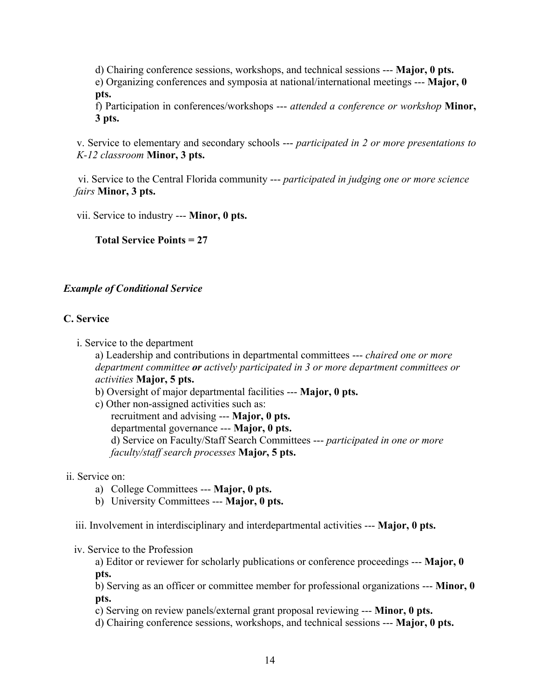d) Chairing conference sessions, workshops, and technical sessions --- **Major, 0 pts.** e) Organizing conferences and symposia at national/international meetings --- **Major, 0 pts.**

f) Participation in conferences/workshops --- *attended a conference or workshop* **Minor, 3 pts.**

v. Service to elementary and secondary schools --- *participated in 2 or more presentations to K-12 classroom* **Minor, 3 pts.**

vi. Service to the Central Florida community --- *participated in judging one or more science fairs* **Minor, 3 pts.**

vii. Service to industry --- **Minor, 0 pts.**

**Total Service Points = 27**

## *Example of Conditional Service*

## **C. Service**

i. Service to the department

a) Leadership and contributions in departmental committees --- *chaired one or more department committee or actively participated in 3 or more department committees or activities* **Major, 5 pts.**

- b) Oversight of major departmental facilities --- **Major, 0 pts.**
- c) Other non-assigned activities such as: recruitment and advising --- **Major, 0 pts.** departmental governance --- **Major, 0 pts.** d) Service on Faculty/Staff Search Committees --- *participated in one or more faculty/staff search processes* **Majo***r***, 5 pts.**

### ii. Service on:

- a) College Committees --- **Major, 0 pts.**
- b) University Committees --- **Major, 0 pts.**

iii. Involvement in interdisciplinary and interdepartmental activities --- **Major, 0 pts.**

iv. Service to the Profession

a) Editor or reviewer for scholarly publications or conference proceedings --- **Major, 0 pts.**

b) Serving as an officer or committee member for professional organizations --- **Minor, 0 pts.**

c) Serving on review panels/external grant proposal reviewing --- **Minor, 0 pts.**

d) Chairing conference sessions, workshops, and technical sessions --- **Major, 0 pts.**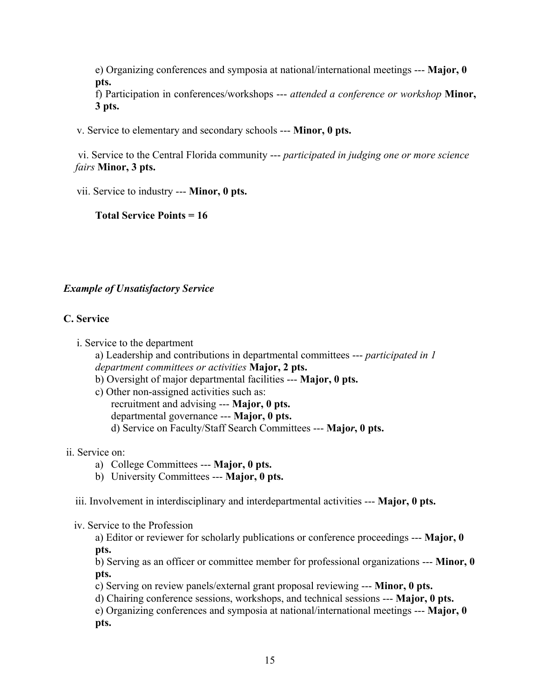e) Organizing conferences and symposia at national/international meetings --- **Major, 0 pts.**

f) Participation in conferences/workshops --- *attended a conference or workshop* **Minor, 3 pts.**

v. Service to elementary and secondary schools --- **Minor, 0 pts.**

vi. Service to the Central Florida community --- *participated in judging one or more science fairs* **Minor, 3 pts.**

vii. Service to industry --- **Minor, 0 pts.**

**Total Service Points = 16**

# *Example of Unsatisfactory Service*

## **C. Service**

i. Service to the department

a) Leadership and contributions in departmental committees --- *participated in 1 department committees or activities* **Major, 2 pts.**

- b) Oversight of major departmental facilities --- **Major, 0 pts.**
- c) Other non-assigned activities such as: recruitment and advising --- **Major, 0 pts.** departmental governance --- **Major, 0 pts.** d) Service on Faculty/Staff Search Committees --- **Majo***r***, 0 pts.**
- ii. Service on:
	- a) College Committees --- **Major, 0 pts.**
	- b) University Committees --- **Major, 0 pts.**

iii. Involvement in interdisciplinary and interdepartmental activities --- **Major, 0 pts.**

iv. Service to the Profession

a) Editor or reviewer for scholarly publications or conference proceedings --- **Major, 0 pts.**

b) Serving as an officer or committee member for professional organizations --- **Minor, 0 pts.**

c) Serving on review panels/external grant proposal reviewing --- **Minor, 0 pts.**

d) Chairing conference sessions, workshops, and technical sessions --- **Major, 0 pts.**

e) Organizing conferences and symposia at national/international meetings --- **Major, 0 pts.**